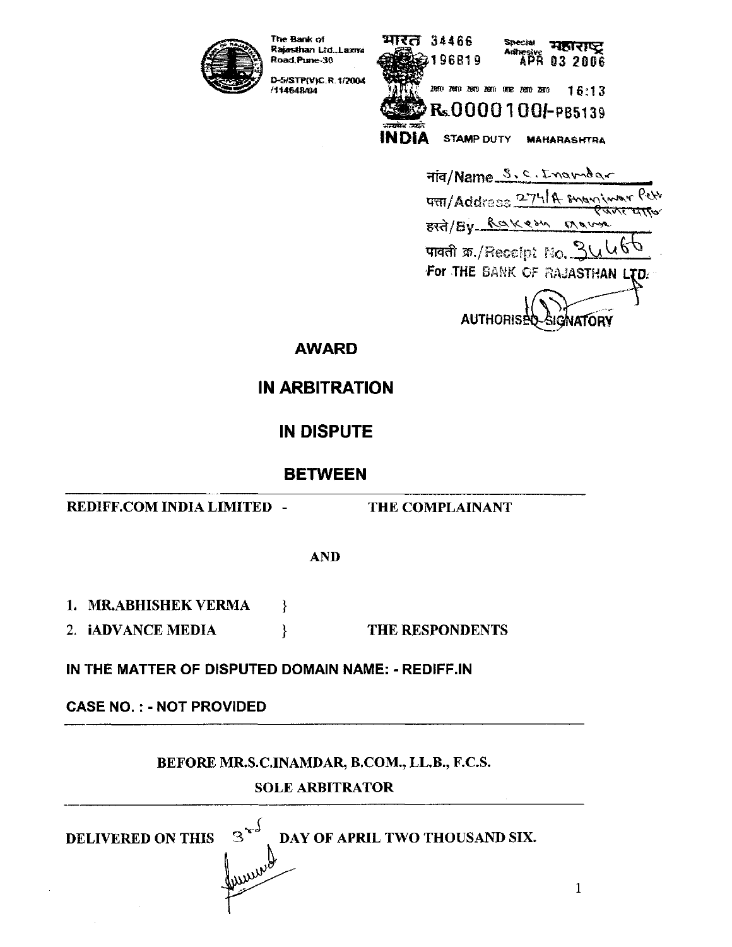

The Bank of Rajasthan Ltd.,Laxive Road, Pune-30 D-5/STP(V)C.R.1/2004

114648/04



Fig/Name S.C. Inamegr  $4\pi$  Address 274/A snowing  $\tau\pi\pi\tau$ BRA/By Raker Marro पावती क्र./Receipt No. 3 For THE BANK OF RAJASTHAN .TD. **AUTHORISE SIGNATORY** 

**AWARD** 

**IN ARBITRATION** 

**IN DISPUTE** 

**BETWEEN** 

REDIFF.COM INDIA LIMITED -

THE COMPLAINANT

**AND** 

1. MR.ABHISHEK VERMA

2. **iADVANCE MEDIA** THE RESPONDENTS }

∤

IN THE MATTER OF DISPUTED DOMAIN NAME: - REDIFF.IN

**CASE NO.: - NOT PROVIDED** 

**DELIVERED ON THIS** 

BEFORE MR.S.C.INAMDAR, B.COM., LL.B., F.C.S.

# **SOLE ARBITRATOR**

DAY OF APRIL TWO THOUSAND SIX.

 $\mathbf{1}$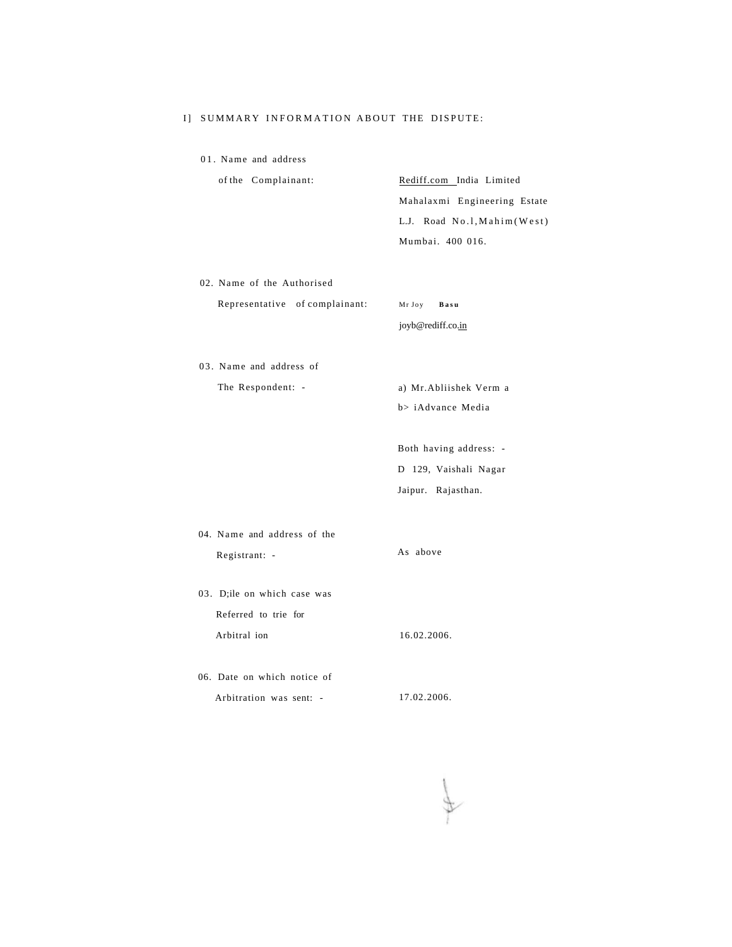### I] SUMMARY INFORMATION ABOUT THE DISPUTE:

01. Name and address

| of the Complainant: | Rediff.com India Limited     |
|---------------------|------------------------------|
|                     | Mahalaxmi Engineering Estate |
|                     | L.J. Road No.1, Mahim (West) |
|                     | Mumbai. 400 016.             |
|                     |                              |

02. Name of the Authorised

Representative of complainant: Mr Joy Basu

joyb@rediff.co.in

03. Name and address of

The Respondent: - a) Mr.Abliishek Verm a b> iAdvance Media

> Both having address: - D 129, Vaishali Nagar Jaipur. Rajasthan.

- 
- 04. Name and address of the Registrant: - As above
- 03. D;ile on which case was Referred to trie for Arbitral ion 16.02.2006.
- 06. Date on which notice of Arbitration was sent: - 17.02.2006.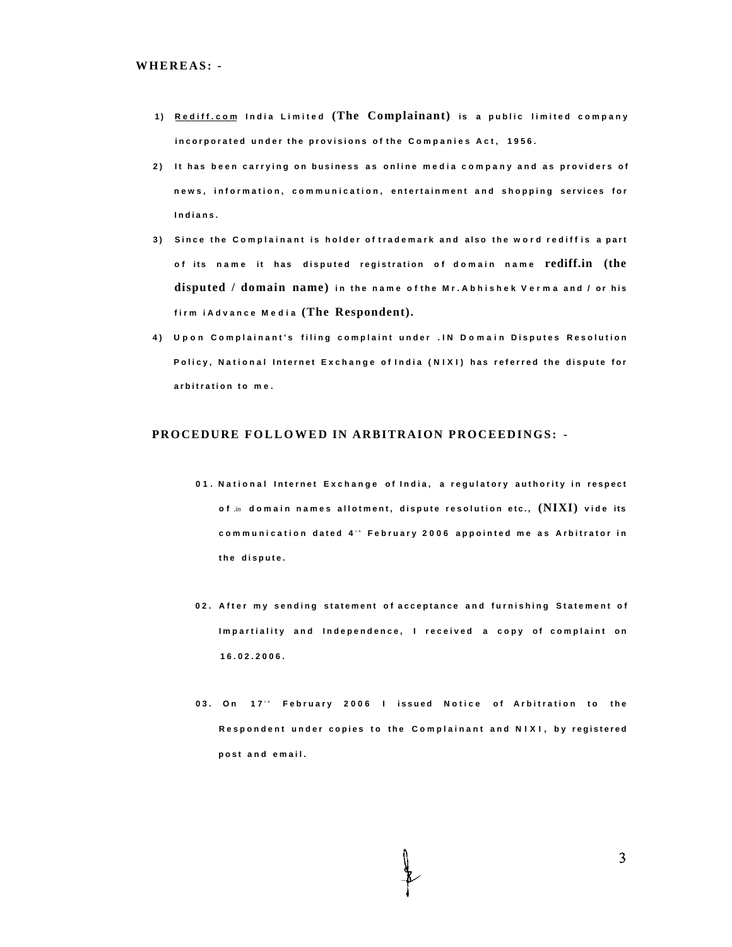- **<sup>1</sup> ) [Rediff.co](http://Rediff.com) m Indi a Limite <sup>d</sup> (The Complainant) is a publi c limite d compan <sup>y</sup>** incorporated under the provisions of the Companies Act, 1956.
- **2 ) I t ha s bee n carryin g o n busines s a s onlin e medi a compan y an d a s provider s o f news , information , communication , entertainmen t an d shoppin g service s fo r Indians .**
- **3 ) Sinc e th e Complainan t i s holde r o f trademar k an d als o th e wor d redif f i s a part <sup>o</sup> f it s nam e it ha s dispute d registratio n o f domai n nam <sup>e</sup> rediff.in (the disputed / domain name)<sup>i</sup> n th e nam e o f th e Mr.Abhishe k Verm a an d / o r hi <sup>s</sup> fir m iAdvanc e Medi <sup>a</sup> (The Respondent).**
- **4 ) Upo n Complainant' s filin g complain t unde r .I N Domai n Dispute s Resolutio n Policy , Nationa l Interne t Exchang e o f Indi a (NIXI ) ha s referre d th e disput e fo r arbitratio n t o me .**

## **PROCEDURE FOLLOWED IN ARBITRAION PROCEEDINGS: -**

- **0 1 . Nationa l Interne t Exchang e o f India , a regulator y authorit y i n respec t <sup>o</sup> <sup>f</sup>** *.in* **domai n name s allotment , disput e resolutio n etc. , (NIXI) vid e its communicatio n date d 4 <sup>t</sup> <sup>h</sup> Februar y 200 6 appointe d m e a s Arbitrato r i n t h e dispute .**
- **0 2 . Afte r m y sendin g statemen t o f acceptanc e an d furnishin g Statemen t o f Impartialit y an d Independence , I receive d a cop y o f complain t o n 16.02.2006 .**
- **0 3 . O n 17 <sup>t</sup> <sup>h</sup> Februar y 200 6 I issue d Notic e o f Arbitratio n t o th e Responden t unde r copie s t o th e Complainan t an d NIXI , b y registere d pos t an d email .**

3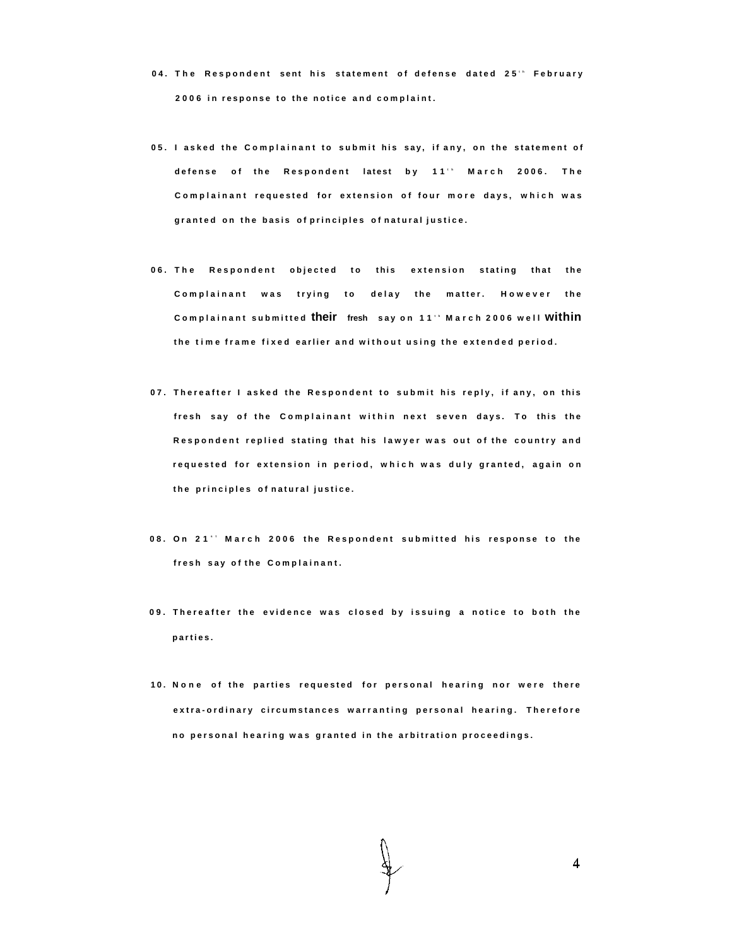- **0 4 . Th e Responden t sen t hi s statemen t o f defens e date d 25 <sup>t</sup> <sup>h</sup> Februar y 200 6 i n respons e t o th e notic e an d complaint .**
- **0 5 . I aske d th e Complainan t t o submi t hi s say , i f any , o n th e statemen t o f defens e o f th e Responden t lates t b y 11 <sup>t</sup> <sup>h</sup> Marc h 2006 . Th e Complainan t requeste d fo r extensio n o f fou r mor e days , whic h wa s grante d o n th e basi s o f principle s o f natura l justice .**
- **0 6 . Th e Responden t objecte d t o thi s extensio n statin g tha t th e Complainan t wa s tryin g t o dela y th e matter . Howeve r th e Complainan t submitte <sup>d</sup> their fresh sa y o n 11 <sup>t</sup> <sup>h</sup> Marc h 200 6 wel <sup>l</sup> within t h e tim e fram e fixe d earlie r an d withou t usin g th e extende d period .**
- **0 7 . Thereafte r I aske d th e Responden t t o submi t hi s reply , i f any , o n thi s fres h sa y o f th e Complainan t withi n nex t seve n days . T o thi s th e Responden t replie d statin g tha t hi s lawye r wa s ou t o f th e countr y an d requeste d fo r extensio n i n period , whic h wa s dul y granted , agai n o n t h e principle s o f natura l justice .**
- **0 8 . O n 21 <sup>s</sup> <sup>t</sup> Marc h 200 6 th e Responden t submitte d hi s respons e t o th e fres h sa y o f th e Complainant .**
- **0 9 . Thereafte r th e evidenc e wa s close d b y issuin g a notic e t o bot h th e parties .**
- **1 0 . Non e o f th e partie s requeste d fo r persona l hearin g no r wer e ther e extra-ordinar y circumstance s warrantin g persona l hearing . Therefor e n o persona l hearin g wa s grante d i n th e arbitratio n proceedings .**

 $\overline{4}$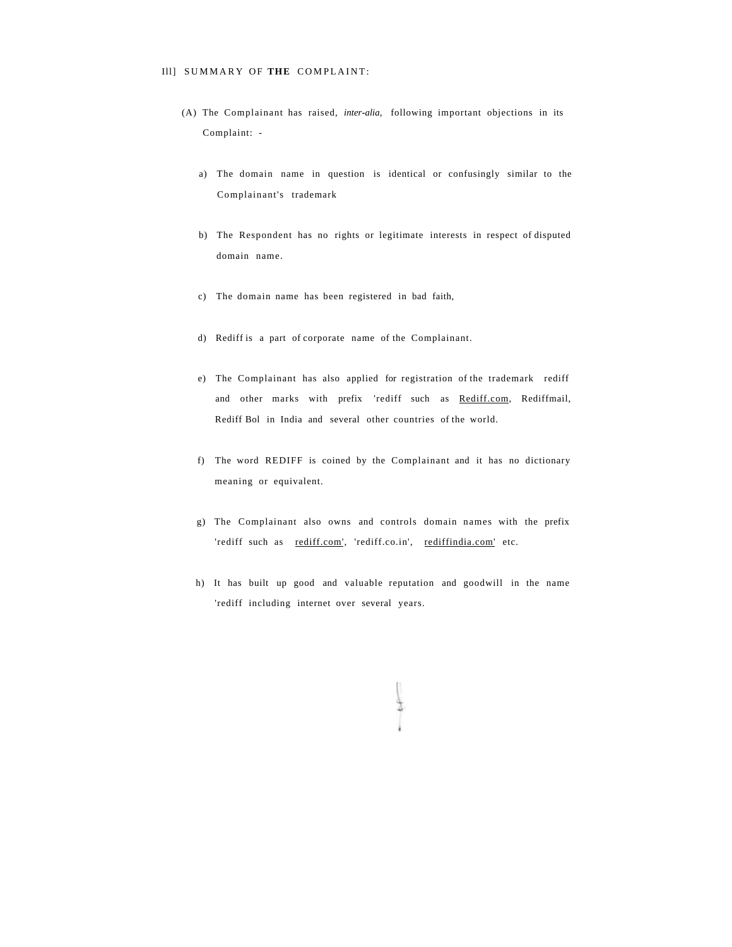- (A) The Complainant has raised, *inter-alia,* following important objections in its Complaint:
	- a) The domain name in question is identical or confusingly similar to the Complainant's trademark
	- b) The Respondent has no rights or legitimate interests in respect of disputed domain name.
	- c) The domain name has been registered in bad faith,
	- d) Rediff is a part of corporate name of the Complainant.
	- e) The Complainant has also applied for registration of the trademark rediff and other marks with prefix 'rediff such as [Rediff.com,](http://Rediff.com) Rediffmail, Rediff Bol in India and several other countries of the world.
	- f) The word REDIFF is coined by the Complainant and it has no dictionary meaning or equivalent.
	- g) The Complainant also owns and controls domain names with the prefix 'rediff such as [rediff.com',](http://rediff.com) 'rediff.co.in', [rediffindia.com' e](http://rediffindia.com)tc.
	- h) It has built up good and valuable reputation and goodwill in the name 'rediff including internet over several years.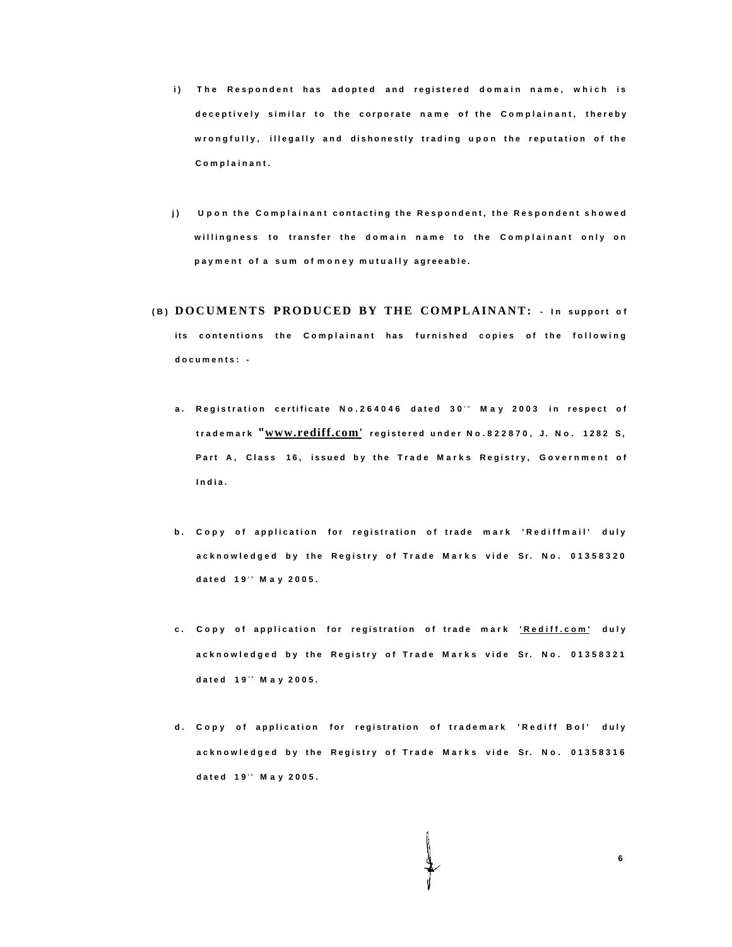- **i**) The Respondent has adopted and registered domain name, which is **deceptivel y simila r t o th e corporat e nam e o f th e Complainant , thereb y wrongfully , illegall y an d dishonestl y tradin g upo n th e reputatio n o f th e Complainant .**
- **j ) Upo n th e Complainan t contactin g th e Respondent , th e Responden t showe d willingnes s t o transfe r th e domai n nam e t o th e Complainan t onl y o n paymen t o f a su m o f mone y mutuall y agreeable .**
- **( B ) DOCUMENTS PRODUCED BY THE COMPLAINANT: I n support o f**  its contentions the Complainant has furnished copies of the following **documents :** 
	- **a** . Registration certificate No.264046 dated 30' May 2003 in respect of **trademar <sup>k</sup> "[www.rediff.com'](http://www.rediff.com) registere d unde r No.822870 , J . No . 128 2 S , Par t A , Clas s 16 , issue d b y th e Trad e Mark s Registry , Governmen t o f India .**
	- **b . Cop y o f applicatio n fo r registratio n o f trad e mar k 'Rediffmail ' dul y acknowledge d b y th e Registr y o f Trad e Mark s vid e Sr. No . 0135832 0 date d 19 <sup>t</sup> <sup>h</sup> Ma y 2005 .**
	- **c . Cop y o f applicatio n fo r registratio n o f trad e mar k ['Rediff.com](http://) ' dul y acknowledge d b y th e Registr y o f Trad e Mark s vid e Sr. No . 0135832 1 date d 19 <sup>t</sup> <sup>h</sup> Ma y 2005 .**
	- **d . Cop y o f applicatio n fo r registratio n o f trademar k 'Redif f Bol ' dul y acknowledge d b y th e Registr y o f Trad e Mark s vid e Sr. No . 0135831 6 date d 19 <sup>t</sup> <sup>h</sup> Ma y 2005 .**

**6**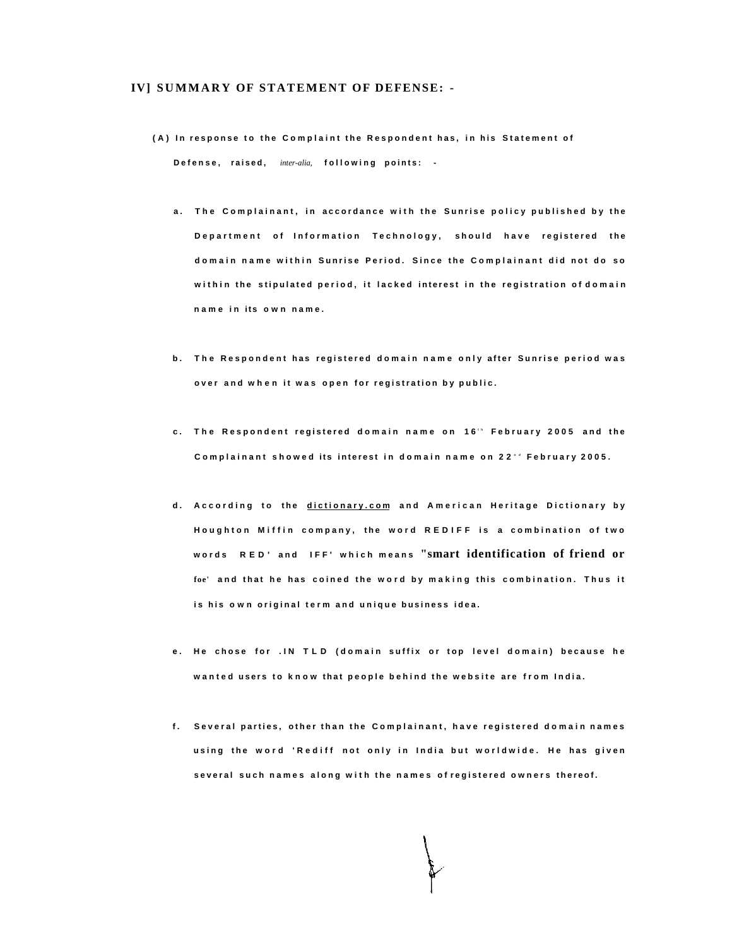#### **IV] SUMMAR Y OF STATEMENT OF DEFENSE: -**

- **( A ) I n respons e t o th e Complain t th e Responden t has , i n hi s Statemen t o f Defense , raised ,** *inter-alia,* **followin g points :** 
	- **a . Th e Complainant , i n accordanc e wit h th e Sunris e polic y publishe d b y th e Department** of Information Technology, should have registered the **domai n nam e withi n Sunris e Period . Sinc e th e Complainan t di d no t d o s o withi n th e stipulate d period , i t lacke d interes t i n th e registratio n o f domai n nam e i n it s ow n name .**
	- **b . Th e Responden t ha s registere d domai n nam e onl y afte r Sunris e perio d wa s ove r an d whe n i t wa s ope n fo r registratio n b y public .**
	- **c . Th e Responden t registere d domai n nam e o n 16 <sup>t</sup> <sup>h</sup> Februar y 200 5 an d th e Complainan t showe d it s interes t i n domai n nam e o n 22 <sup>n</sup> <sup>d</sup> Februar y 2005 .**
	- **d . Accordin g t o th e [dictionary.co](http://dictionary.com) m an d America n Heritag e Dictionar y b y Houghto n Miffi n company , th e wor d REDIF F i s a combinatio n o f tw o word s RED ' an d IFF ' whic h mean <sup>s</sup> "smart identification of friend or foe' an d tha t h e ha s coine d th e wor d b y makin g thi s combination . Thu s i t i s hi s ow n origina l ter m an d uniqu e busines s idea .**
	- **e . H e chos e fo r .I N TL D (domai n suffi x o r to p leve l domain ) becaus e h e wante d user s t o kno w tha t peopl e behin d th e websit e ar e fro m India .**
	- **f . Severa l parties , othe r tha n th e Complainant , hav e registere d domai n name s usin g th e wor d 'Redif f no t onl y i n Indi a bu t worldwide . H e ha s give n severa l suc h name s alon g wit h th e name s o f registere d owner s thereof .**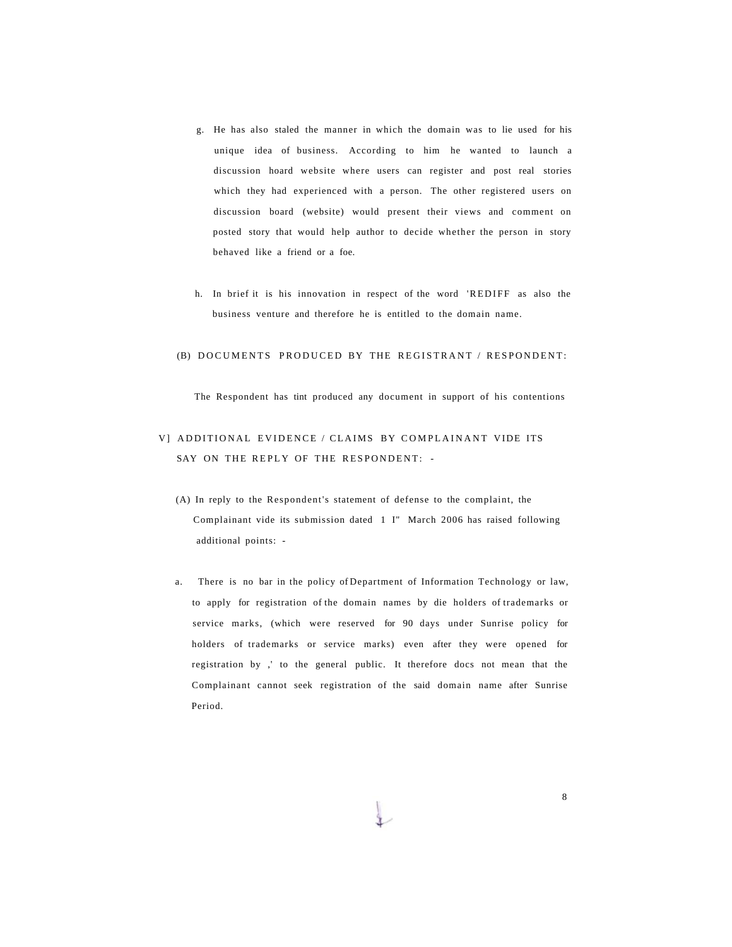- g. He has also staled the manner in which the domain was to lie used for his unique idea of business. According to him he wanted to launch a discussion hoard website where users can register and post real stories which they had experienced with a person. The other registered users on discussion board (website) would present their views and comment on posted story that would help author to decide whether the person in story behaved like a friend or a foe.
- h. In brief it is his innovation in respect of the word 'REDIFF as also the business venture and therefore he is entitled to the domain name.

### (B) DOCUMENTS PRODUCED BY THE REGISTRANT / RESPONDENT:

The Respondent has tint produced any document in support of his contentions

# V] ADDITIONAL EVIDENCE / CLAIMS BY COMPLAINANT VIDE ITS SAY ON THE REPLY OF THE RESPONDENT: -

- (A) In reply to the Respondent's statement of defense to the complaint, the Complainant vide its submission dated 1 I" March 2006 has raised following additional points: -
- a. There is no bar in the policy of Department of Information Technology or law, to apply for registration of the domain names by die holders of trademarks or service marks, (which were reserved for 90 days under Sunrise policy for holders of trademarks or service marks) even after they were opened for registration by ,' to the general public. It therefore docs not mean that the Complainant cannot seek registration of the said domain name after Sunrise Period.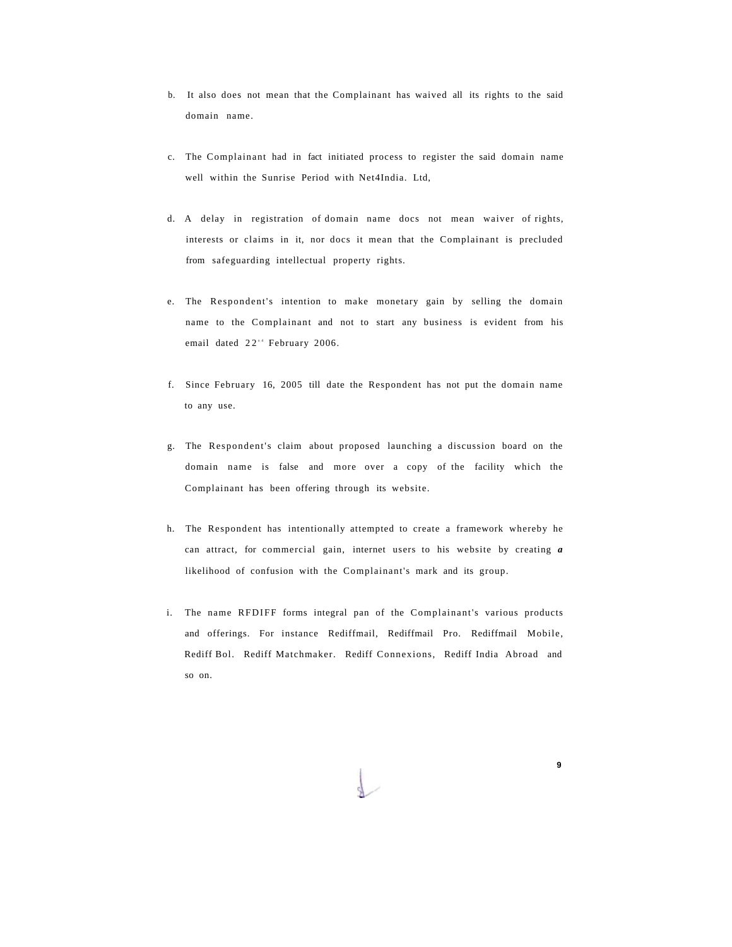- b. It also does not mean that the Complainant has waived all its rights to the said domain name.
- c. The Complainant had in fact initiated process to register the said domain name well within the Sunrise Period with Net4India. Ltd,
- d. A delay in registration of domain name docs not mean waiver of rights, interests or claims in it, nor docs it mean that the Complainant is precluded from safeguarding intellectual property rights.
- e. The Respondent's intention to make monetary gain by selling the domain name to the Complainant and not to start any business is evident from his email dated 22<sup>\*</sup> February 2006.
- f. Since February 16, 2005 till date the Respondent has not put the domain name to any use.
- g. The Respondent's claim about proposed launching a discussion board on the domain name is false and more over a copy of the facility which the Complainant has been offering through its website.
- h. The Respondent has intentionally attempted to create a framework whereby he can attract, for commercial gain, internet users to his website by creating *a*  likelihood of confusion with the Complainant's mark and its group.
- i. The name RFDIFF forms integral pan of the Complainant's various products and offerings. For instance Rediffmail, Rediffmail Pro. Rediffmail Mobile, Rediff Bol. Rediff Matchmaker. Rediff Connexions, Rediff India Abroad and so on.

**9**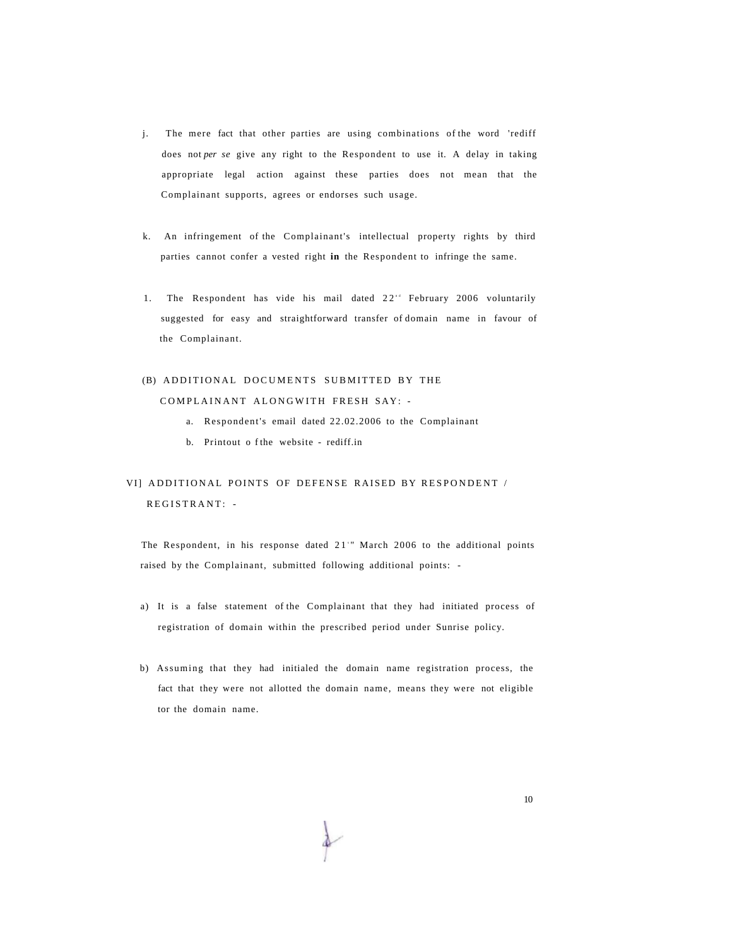- j. The mere fact that other parties are using combinations of the word 'rediff does not *per se* give any right to the Respondent to use it. A delay in taking appropriate legal action against these parties does not mean that the Complainant supports, agrees or endorses such usage.
- k. An infringement of the Complainant's intellectual property rights by third parties cannot confer a vested right **in** the Respondent to infringe the same.
- 1. The Respondent has vide his mail dated  $22^{n}$  February 2006 voluntarily suggested for easy and straightforward transfer of domain name in favour of the Complainant.

# (B) ADDITIONAL DOCUMENTS SUBMITTED BY THE COMPLAINANT ALONGWITH FRESH SAY: -

- a. Respondent's email dated 22.02.2006 to the Complainant
- b. Printout o f the website rediff.in

# VI] ADDITIONAL POINTS OF DEFENSE RAISED BY RESPONDENT / REGISTRANT: -

The Respondent, in his response dated  $21$ " March 2006 to the additional points raised by the Complainant, submitted following additional points: -

- a) It is a false statement of the Complainant that they had initiated process of registration of domain within the prescribed period under Sunrise policy.
- b) Assuming that they had initialed the domain name registration process, the fact that they were not allotted the domain name, means they were not eligible tor the domain name.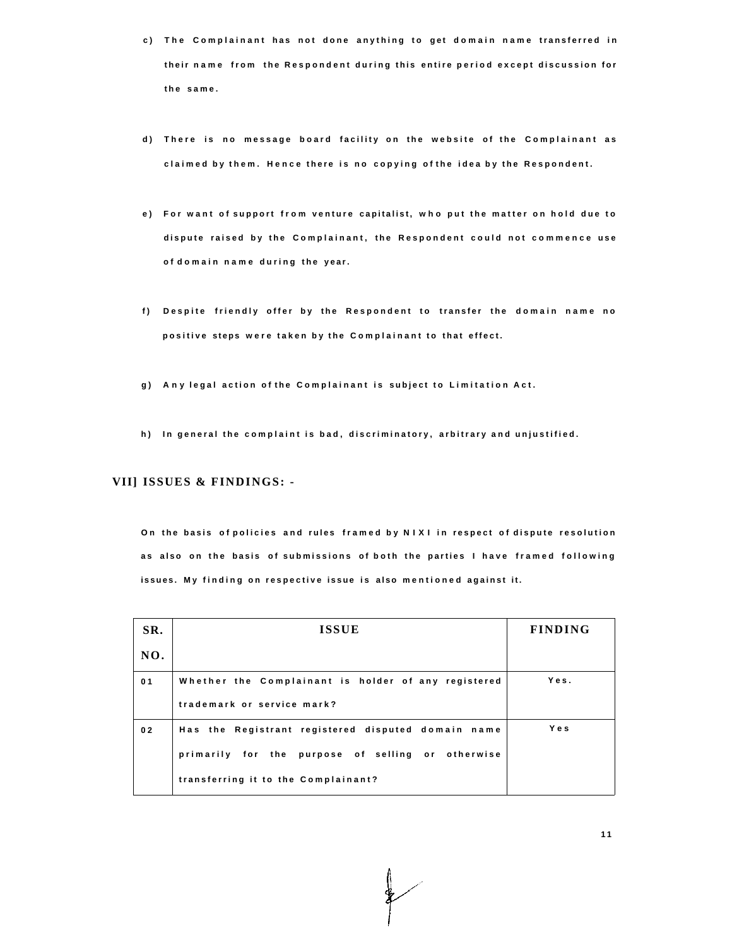- **c ) Th e Complainan t ha s no t don e anythin g t o ge t domai n nam e transferre d i n their nam e fro m th e Responden t durin g thi s entir e perio d excep t discussio n fo r t h e same .**
- **d ) Ther e i s n o messag e boar d facilit y o n th e websit e o f th e Complainan t a s claime d b y them . Henc e ther e i s n o copyin g o f th e ide a b y th e Respondent .**
- **e ) Fo r wan t o f suppor t fro m ventur e capitalist , wh o pu t th e matte r o n hol d du e t o disput e raise d b y th e Complainant , th e Responden t coul d no t commenc e us e o f domai n nam e durin g th e year.**
- **f ) Despit e friendl y offe r b y th e Responden t t o transfe r th e domai n nam e n o positive steps were taken by the Complainant to that effect.**
- **g ) An y lega l actio n o f th e Complainan t i s subjec t t o Limitatio n Act .**
- **h ) I n genera l th e complain t i s bad , discriminatory , arbitrar y an d unjustified .**

### **VII] ISSUES & FINDINGS: -**

**O n th e basi s o f policie s an d rule s frame d b y NIX I i n respec t o f disput e resolutio n a s als o o n th e basi s o f submission s o f bot h th e partie s I hav e frame d followin g issues . M y findin g o n respectiv e issu e i s als o mentione d agains t it.** 

| SR.            | <b>ISSUE</b>                                                                                                                                   | <b>FINDING</b> |
|----------------|------------------------------------------------------------------------------------------------------------------------------------------------|----------------|
| NO.            |                                                                                                                                                |                |
| 0 <sub>1</sub> | Whether the Complainant is holder of any registered<br>trademark or service mark?                                                              | Yes.           |
| 02             | Has the Registrant registered disputed domain name<br>primarily for the purpose of selling or otherwise<br>transferring it to the Complainant? | Yes            |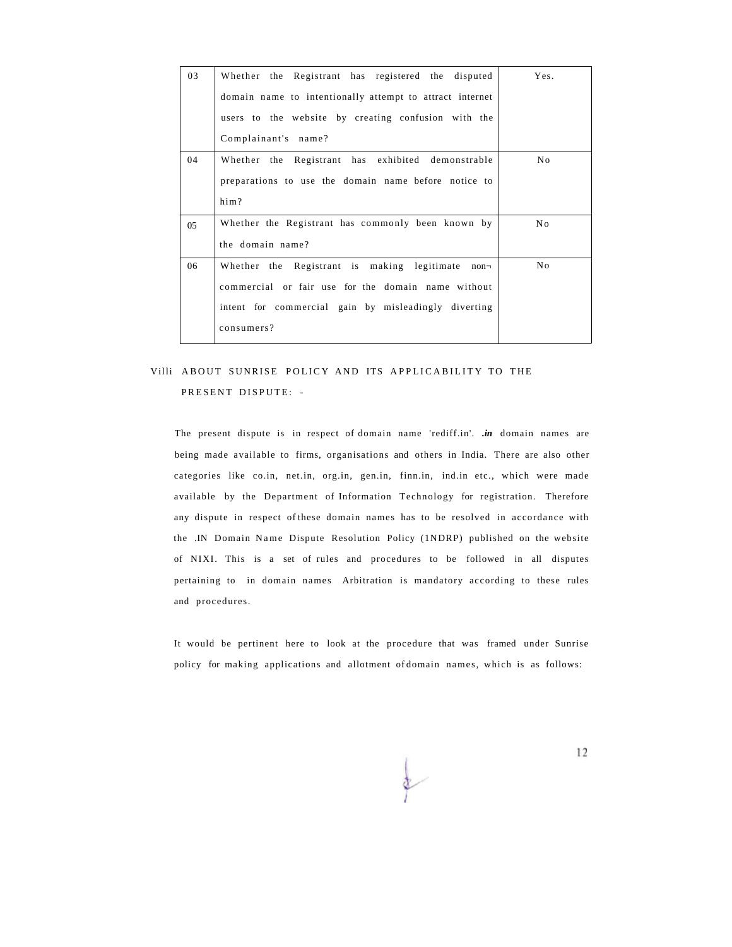| 03 | Whether the Registrant has registered the disputed       | Yes. |
|----|----------------------------------------------------------|------|
|    | domain name to intentionally attempt to attract internet |      |
|    | users to the website by creating confusion with the      |      |
|    | Complainant's name?                                      |      |
| 04 | Whether the Registrant has exhibited demonstrable        | No.  |
|    | preparations to use the domain name before notice to     |      |
|    | him?                                                     |      |
| 05 | Whether the Registrant has commonly been known by        | No.  |
|    | the domain name?                                         |      |
| 06 | Whether the Registrant is making legitimate non-         | No   |
|    | commercial or fair use for the domain name without       |      |
|    | intent for commercial gain by misleadingly diverting     |      |
|    | consumers?                                               |      |

# Villi ABOUT SUNRISE POLICY AND ITS APPLICABILITY TO THE PRESENT DISPUTE: -

The present dispute is in respect of domain name 'rediff.in'. *.in* domain names are being made available to firms, organisations and others in India. There are also other categories like co.in, net.in, org.in, gen.in, finn.in, ind.in etc., which were made available by the Department of Information Technology for registration. Therefore any dispute in respect of these domain names has to be resolved in accordance with the .IN Domain Name Dispute Resolution Policy (1NDRP) published on the website of NIXI. This is a set of rules and procedures to be followed in all disputes pertaining to in domain names Arbitration is mandatory according to these rules and procedures.

It would be pertinent here to look at the procedure that was framed under Sunrise policy for making applications and allotment of domain names, which is as follows: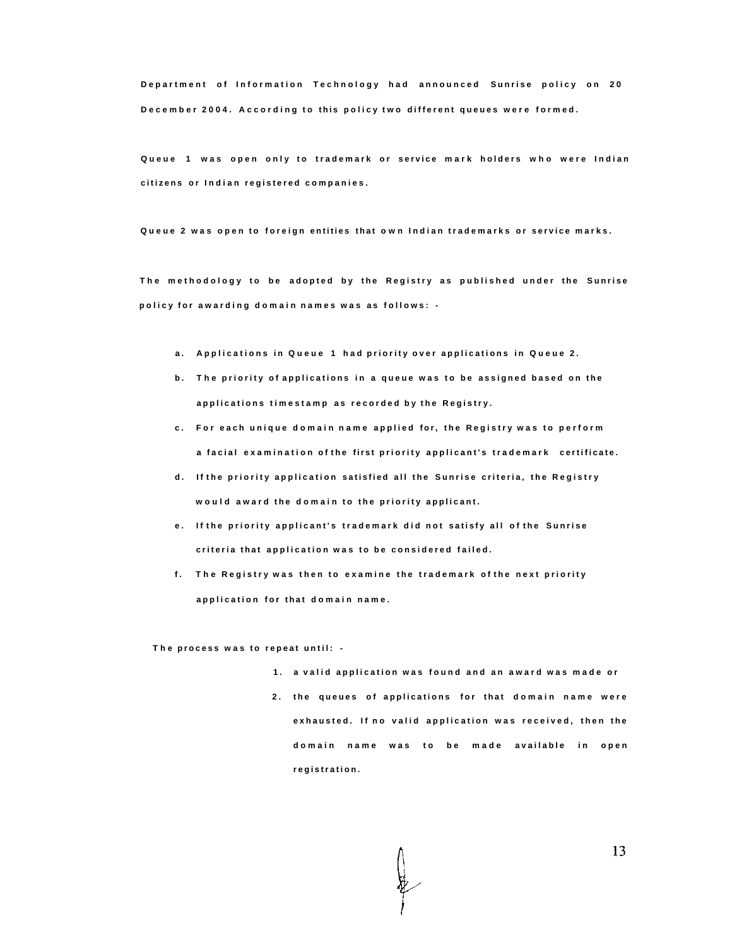**Departmen t o f Informatio n Technolog y ha d announce d Sunris e polic y o n 2 0 December 2004. According to this policy two different queues were formed.** 

**Queu e 1 wa s ope n onl y t o trademar k o r servic e mar k holder s wh o wer e India n citizen s o r India n registere d companies .** 

**Queu e 2 wa s ope n t o foreig n entitie s tha t ow n India n trademark s o r servic e marks .** 

**T h e methodolog y t o b e adopte d b y th e Registr y a s publishe d unde r th e Sunris e polic y fo r awardin g domai n name s wa s a s follows : -**

- **a . Application s i n Queu e 1 ha d priorit y ove r application s i n Queu e 2 .**
- **b . Th e priorit y o f application s i n a queu e wa s t o b e assigne d base d o n th e application s timestam p a s recorde d b y th e Registry .**
- **c . Fo r eac h uniqu e domai n nam e applie d for, th e Registr y wa s t o perfor m a facia l examinatio n o f th e firs t priorit y applicant' s trademar k certificate .**
- **d . I f th e priorit y applicatio n satisfie d al l th e Sunris e criteria , th e Registr y woul d awar d th e domai n t o th e priorit y applicant .**
- **e . I f th e priorit y applicant' s trademar k di d no t satisf y al l o f th e Sunris e criteri a tha t applicatio n wa s t o b e considere d failed .**
- **f . Th e Registr y wa s the n t o examin e th e trademar k o f th e nex t priorit y applicatio n fo r tha t domai n name .**

**T h e proces s wa s t o repea t until : -**

- **1 . a vali d applicatio n wa s foun d an d a n awar d wa s mad e o r**
- **2 . th e queue s o f application s fo r tha t domai n nam e wer e exhausted . I f n o vali d applicatio n wa s received , the n th e domai n nam e wa s t o b e mad e availabl e i n ope n registration .**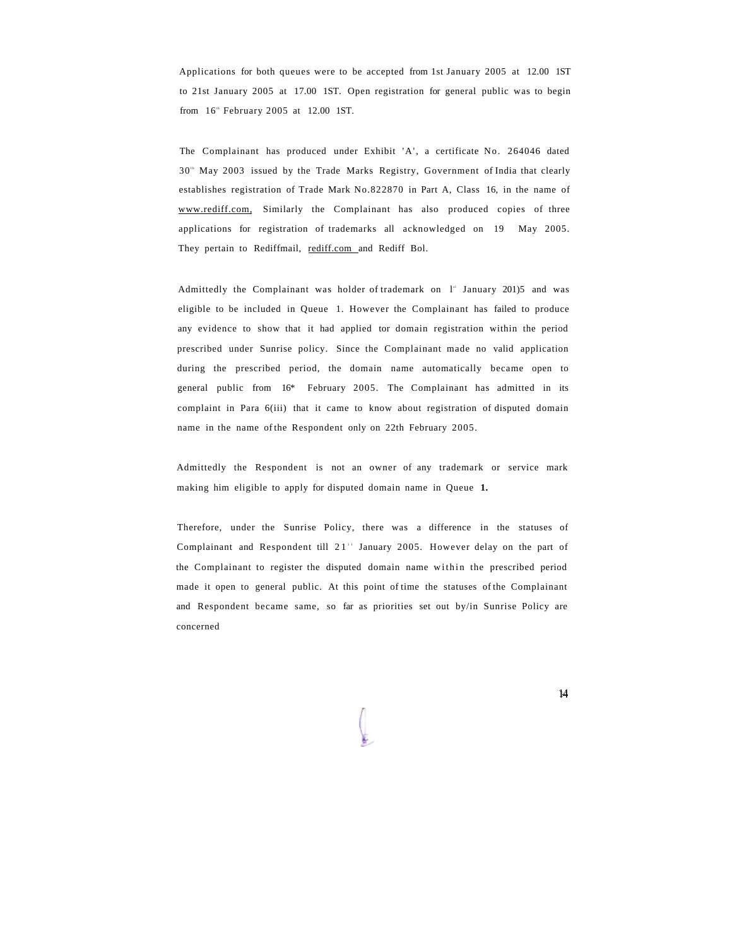Applications for both queues were to be accepted from 1st January 2005 at 12.00 1ST to 21st January 2005 at 17.00 1ST. Open registration for general public was to begin from  $16<sup>th</sup>$  February 2005 at 12.00 1ST.

The Complainant has produced under Exhibit 'A', a certificate No. 264046 dated 30<sup>th</sup> May 2003 issued by the Trade Marks Registry, Government of India that clearly establishes registration of Trade Mark No.822870 in Part A, Class 16, in the name of [www.rediff.com,](http://www.rediff.com) Similarly the Complainant has also produced copies of three applications for registration of trademarks all acknowledged on 19 May 2005. They pertain to Rediffmail, [rediff.com an](http://rcdiff.com)d Rediff Bol.

Admittedly the Complainant was holder of trademark on  $l^*$  January 201)5 and was eligible to be included in Queue 1. However the Complainant has failed to produce any evidence to show that it had applied tor domain registration within the period prescribed under Sunrise policy. Since the Complainant made no valid application during the prescribed period, the domain name automatically became open to general public from 16\* February 2005. The Complainant has admitted in its complaint in Para 6(iii) that it came to know about registration of disputed domain name in the name of the Respondent only on 22th February 2005.

Admittedly the Respondent is not an owner of any trademark or service mark making him eligible to apply for disputed domain name in Queue **1.** 

Therefore, under the Sunrise Policy, there was a difference in the statuses of Complainant and Respondent till  $21$ <sup>11</sup> January 2005. However delay on the part of the Complainant to register the disputed domain name within the prescribed period made it open to general public. At this point of time the statuses of the Complainant and Respondent became same, so far as priorities set out by/in Sunrise Policy are concerned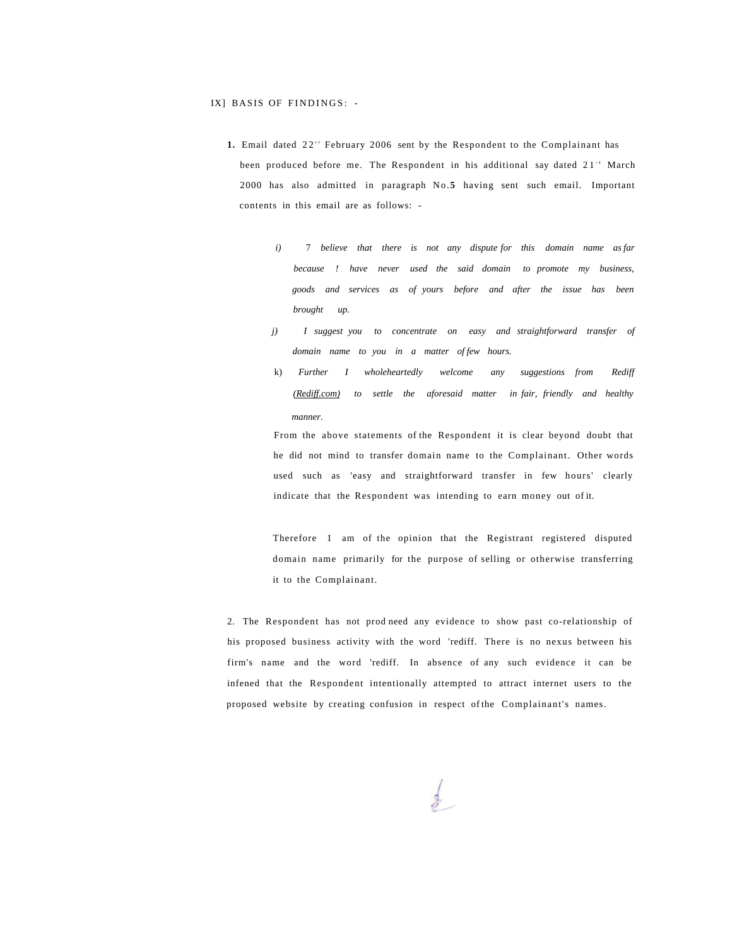#### IX] BASIS OF FINDINGS: -

- **1.** Email dated 22<sup><sup>t</sup></sup> February 2006 sent by the Respondent to the Complainant has been produced before me. The Respondent in his additional say dated 21" March 2000 has also admitted in paragraph No.**5** having sent such email. Important contents in this email are as follows:
	- *i*) 7 *believe that there is not any dispute for this domain name as far because ! have never used the said domain to promote my business, goods and services as of yours before and after the issue has been brought up.*
	- *j) I suggest you to concentrate on easy and straightforward transfer of domain name to you in a matter of few hours.*
	- k) *Further I wholeheartedly welcome any suggestions from Rediff ([Rediff.com\)](http://Rediff.com) to settle the aforesaid matter in fair, friendly and healthy manner.*

From the above statements of the Respondent it is clear beyond doubt that he did not mind to transfer domain name to the Complainant. Other words used such as 'easy and straightforward transfer in few hours' clearly indicate that the Respondent was intending to earn money out of it.

Therefore 1 am of the opinion that the Registrant registered disputed domain name primarily for the purpose of selling or otherwise transferring it to the Complainant.

2. The Respondent has not prod need any evidence to show past co-relationship of his proposed business activity with the word 'rediff. There is no nexus between his firm's name and the word 'rediff. In absence of any such evidence it can be infened that the Respondent intentionally attempted to attract internet users to the proposed website by creating confusion in respect of the Complainant's names.

 $\frac{1}{2}$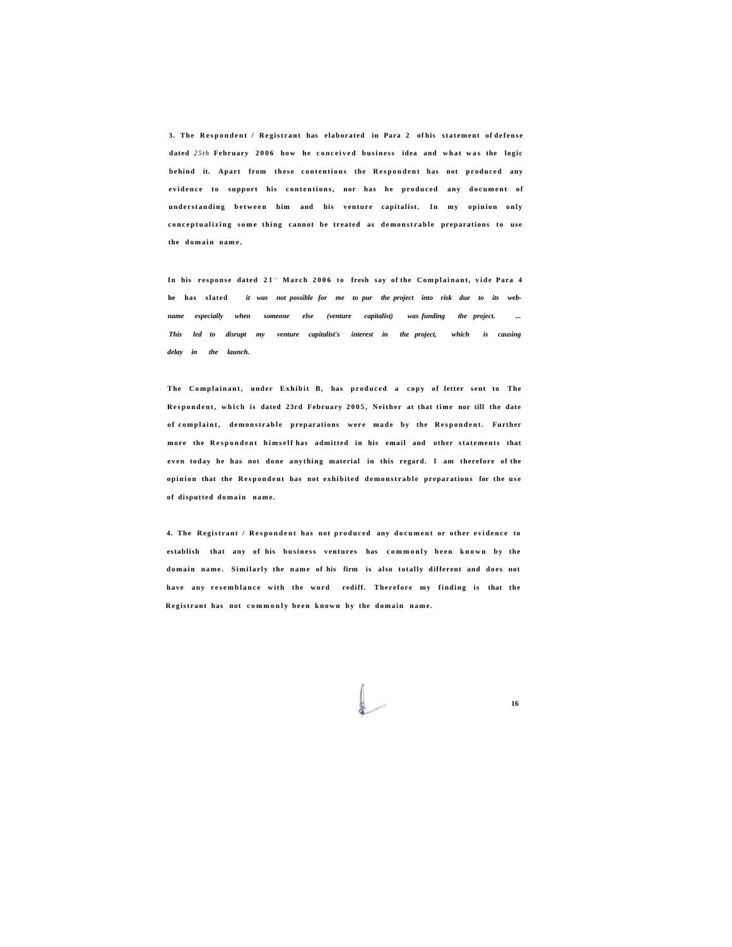**3. The Responden t / Registran t has elaborated in Para 2 of his statement of defens e**  dated 25th February 2006 how he conceived business idea and what was the logic **behind it. Apart from these contentions the Respondent has not produced any evidence** to support his contentions, nor has he produced any document of **understanding between him and his venture capitalist. In my opinion only** conceptualizing some thing cannot be treated as demonstrable preparations to use **the domai n name .** 

In his response dated 21" March 2006 to fresh say of the Complainant, vide Para 4 **he has slated** *it was not possible for me to pur the project into risk due to its web*name especially when someone else (venture capitalist) was funding the project. *This led to disrupt my venture capitalist's interest in the project, which is causing delay in the launch.* 

The Complainant, under Exhibit B, has produced a copy of letter sent to The **Respondent, which is dated 23rd February 2005, Neither at that time nor till the date o f complaint, demonstrabl e preparations wer e mad e by the Respondent. Further mor e the Responden t himsel f has admitted in his email and other statements that**  even today he has not done anything material in this regard. I am therefore of the **opinion** that the Respondent has not exhibited demonstrable preparations for the use **o f disputted domai n name .** 

**4. The Registrant / Responden t has not produce d any documen t or othe r evidenc e to**  establish that any of his business ventures has commonly been known by the **domai n name . Similarl y the nam e of his firm is also totall y different and doe s not**  have any resemblance with the word rediff. Therefore my finding is that the **Registrant has not commonly been known by the domain name.**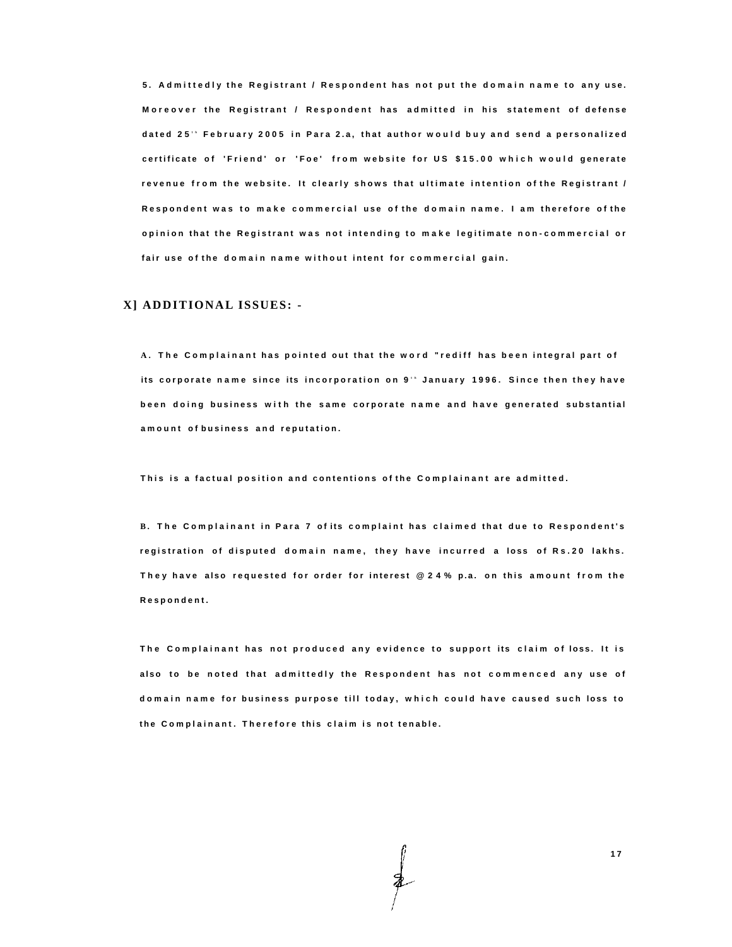**5 . Admittedl y th e Registran t / Responden t ha s no t pu t th e domai n nam e t o an y use . Moreove r th e Registran t / Responden t ha s admitte d i n hi s statemen t o f defens e date d 25 <sup>t</sup> <sup>h</sup> Februar y 200 5 i n Par a 2.a , tha t autho r woul d bu y an d sen d a personalize d certificat e o f 'Friend ' o r 'Foe ' fro m websit e fo r U S \$15.0 0 whic h woul d generat e revenu e fro m th e website . I t clearl y show s tha t ultimat e intentio n o f th e Registran t / Responden t wa s t o mak e commercia l us e o f th e domai n name . I a m therefor e o f th e opinio n tha t th e Registran t wa s no t intendin g t o mak e legitimat e non-commercia l o r fair us e o f th e domai n nam e withou t inten t fo r commercia l gain .** 

### **X] ADDITIONAL ISSUES: -**

**A . Th e Complainan t ha s pointe d ou t tha t th e wor d "redif f ha s bee n integra l part o f its corporate name since its incorporation on 9<sup>.</sup> January 1996. Since then they have bee n doin g busines s wit h th e sam e corporat e nam e an d hav e generate d substantia l amoun t o f busines s an d reputation .** 

**Thi s i s a factua l positio n an d contention s o f th e Complainan t ar e admitted .** 

**B . Th e Complainan t i n Par a 7 o f it s complain t ha s claime d tha t du e t o Respondent' s registratio n o f dispute d domai n name , the y hav e incurre d a los s o f Rs.2 0 lakhs . The y hav e als o requeste d fo r orde r fo r interes t @24 % p.a . o n thi s amoun t fro m th e Respondent .** 

**T h e Complainan t ha s no t produce d an y evidenc e t o suppor t it s clai m o f loss . I t i s als o t o b e note d tha t admittedl y th e Responden t ha s no t commence d an y us e o f domai n nam e fo r busines s purpos e til l today , whic h coul d hav e cause d suc h los s t o t h e Complainant . Therefor e thi s clai m i s no t tenable .**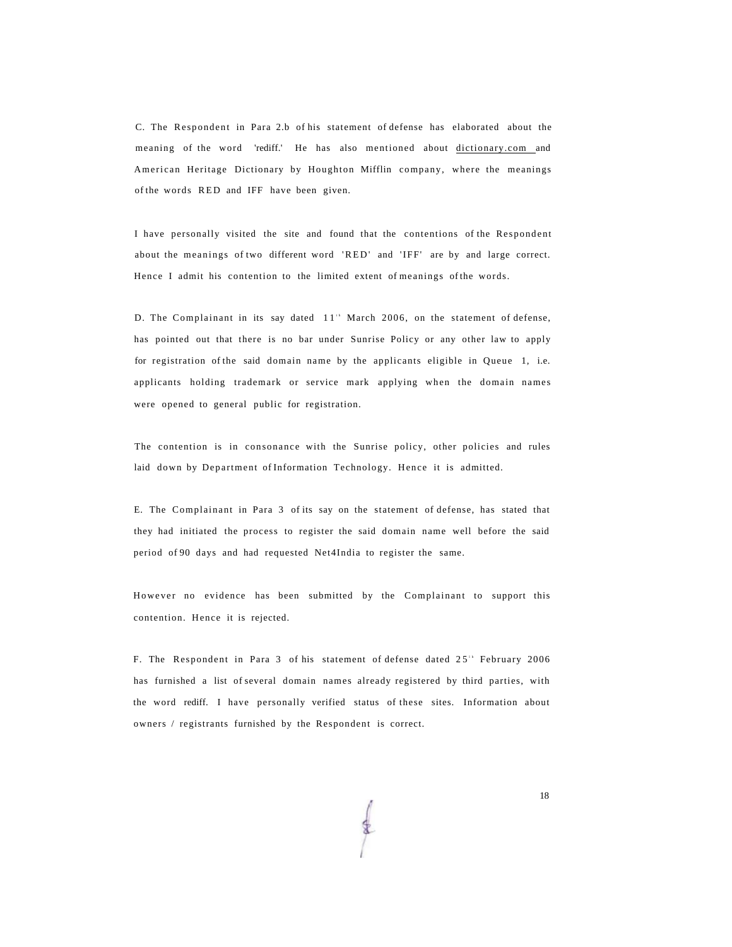C. The Respondent in Para 2.b of his statement of defense has elaborated about the meaning of the word 'rediff.' He has also mentioned about [dictionary.com a](http://dictionary.com)nd American Heritage Dictionary by Houghton Mifflin company, where the meanings of the words RED and IFF have been given.

I have personally visited the site and found that the contentions of the Respondent about the meanings of two different word 'RED ' and 'IFF' are by and large correct. Hence I admit his contention to the limited extent of meanings of the words.

D. The Complainant in its say dated 11<sup>th</sup> March 2006, on the statement of defense, has pointed out that there is no bar under Sunrise Policy or any other law to apply for registration of the said domain name by the applicants eligible in Queue 1, i.e. applicants holding trademark or service mark applying when the domain names were opened to general public for registration.

The contention is in consonance with the Sunrise policy, other policies and rules laid down by Department of Information Technology. Hence it is admitted.

E. The Complainant in Para 3 of its say on the statement of defense, has stated that they had initiated the process to register the said domain name well before the said period of 90 days and had requested Net4India to register the same.

However no evidence has been submitted by the Complainant to support this contention. Hence it is rejected.

F. The Respondent in Para 3 of his statement of defense dated 25<sup>th</sup> February 2006 has furnished a list of several domain names already registered by third parties, with the word rediff. I have personally verified status of these sites. Information about owners / registrants furnished by the Respondent is correct.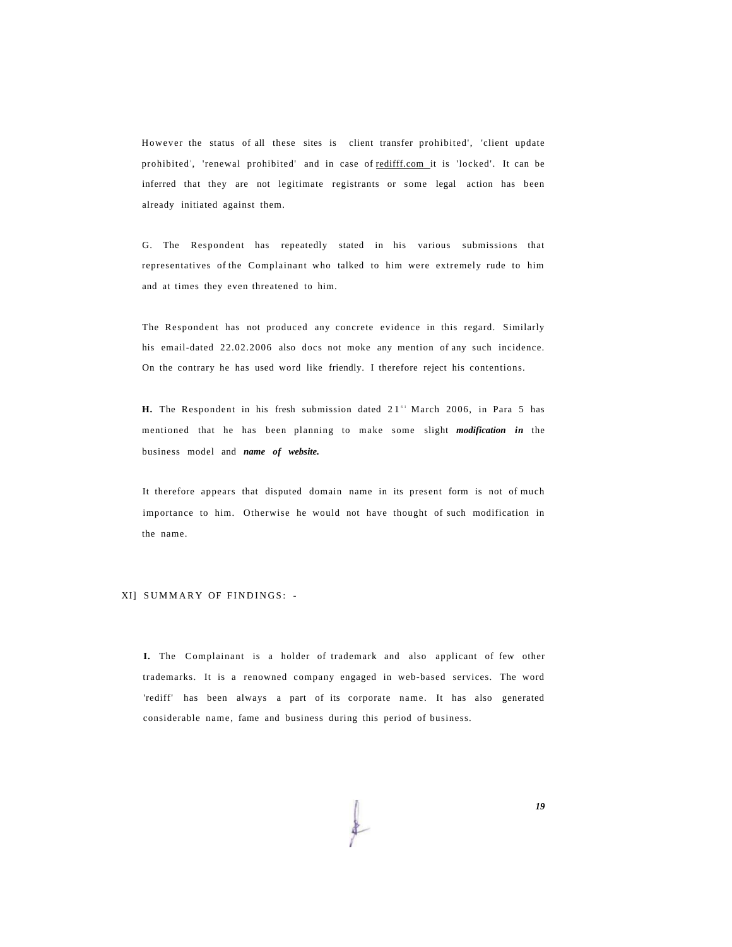However the status of all these sites is client transfer prohibited', 'client update prohibited', 'renewal prohibited' and in case of <u>redifff.com</u> it is 'locked'. It can be inferred that they are not legitimate registrants or some legal action has been already initiated against them.

G. The Respondent has repeatedly stated in his various submissions that representatives of the Complainant who talked to him were extremely rude to him and at times they even threatened to him.

The Respondent has not produced any concrete evidence in this regard. Similarly his email-dated 22.02.2006 also docs not moke any mention of any such incidence. On the contrary he has used word like friendly. I therefore reject his contentions.

**H.** The Respondent in his fresh submission dated  $21^{s}$  March 2006, in Para 5 has mentioned that he has been planning to make some slight *modification in* the business model and *name of website.* 

It therefore appears that disputed domain name in its present form is not of much importance to him. Otherwise he would not have thought of such modification in the name.

#### XI] SUMMARY OF FINDINGS: -

**I.** The Complainant is a holder of trademark and also applicant of few other trademarks. It is a renowned company engaged in web-based services. The word 'rediff' has been always a part of its corporate name. It has also generated considerable name, fame and business during this period of business.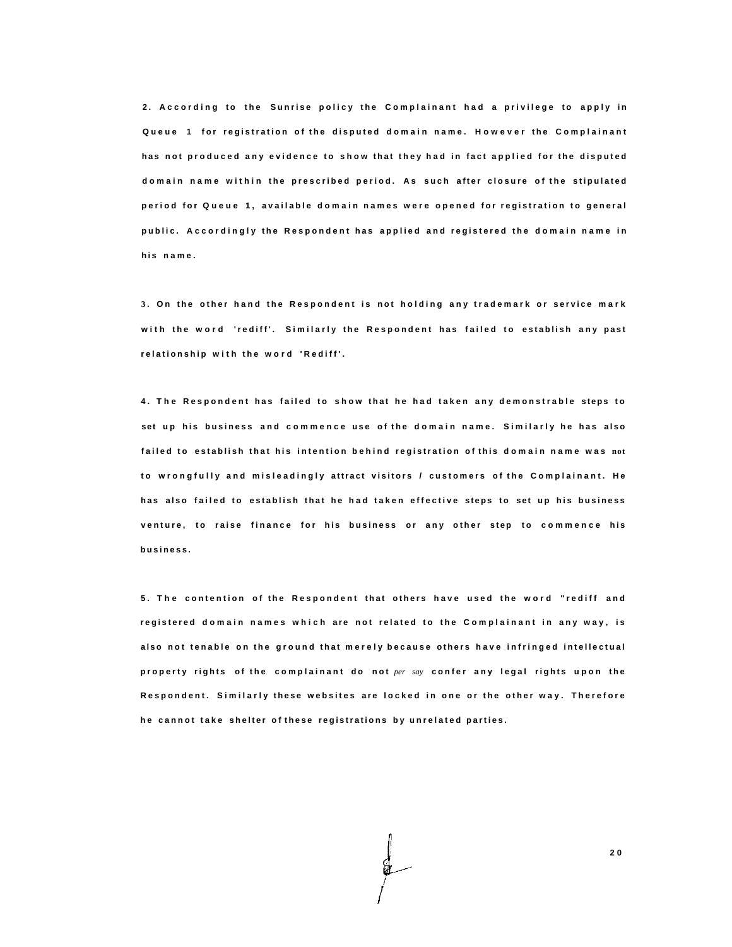**2 . Accordin g t o th e Sunris e polic y th e Complainan t ha d a privileg e t o appl y i n Queu e 1 fo r registratio n o f th e dispute d domai n name . Howeve r th e Complainan t h a s no t produce d an y evidenc e t o sho w tha t the y ha d i n fac t applie d fo r th e dispute d domai n nam e withi n th e prescribe d period . A s suc h afte r closur e o f th e stipulate d perio d fo r Queu e 1 , availabl e domai n name s wer e opene d fo r registratio n t o genera l public . Accordingl y th e Responden t ha s applie d an d registere d th e domai n nam e i n h i s name .** 

**3 . O n th e othe r han d th e Responden t i s no t holdin g an y trademar k o r servic e mar k wit h th e wor d 'rediff' . Similarl y th e Responden t ha s faile d t o establis h an y pas t relationshi p wit h th e wor d 'Rediff' .** 

**4 . Th e Responden t ha s faile d t o sho w tha t h e ha d take n an y demonstrabl e steps t o set u p hi s busines s an d commenc e us e o f th e domai n name . Similarl y h e ha s als o faile d t o establis h tha t hi s intentio n behin d registratio n o f thi s domai n nam e wa s not t o wrongfull y an d misleadingl y attrac t visitor s / customer s o f th e Complainant . H e h a s als o faile d t o establis h tha t h e ha d take n effectiv e steps t o se t u p hi s busines s venture , t o rais e financ e fo r hi s busines s o r an y othe r ste p t o commenc e hi s business .** 

**5 . Th e contentio n o f th e Responden t tha t other s hav e use d th e wor d "redif f an d registere d domai n name s whic h ar e no t relate d t o th e Complainan t i n an y way , i s als o no t tenabl e o n th e groun d tha t merel y becaus e other s hav e infringe d intellectua l property rights of the complainant do not per say confer any legal rights upon the Respondent . Similarl y thes e website s ar e locke d i n on e o r th e othe r way . Therefor e h e canno t tak e shelte r o f thes e registration s b y unrelate d parties .**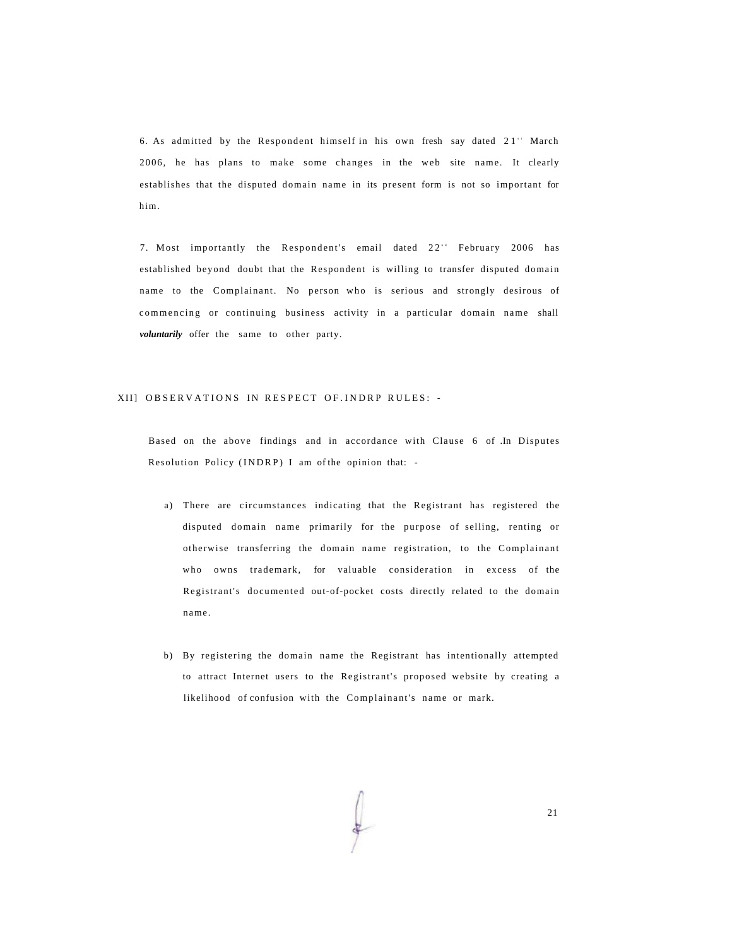6. As admitted by the Respondent himself in his own fresh say dated  $21$ " March 2006, he has plans to make some changes in the web site name. It clearly establishes that the disputed domain name in its present form is not so important for him.

7. Most importantly the Respondent's email dated 22<sup>\*</sup> February 2006 has established beyond doubt that the Respondent is willing to transfer disputed domain name to the Complainant. No person who is serious and strongly desirous of commencing or continuing business activity in a particular domain name shall *voluntarily* offer the same to other party.

#### XII] OBSERVATIONS IN RESPECT OF. INDRP RULES: -

Based on the above findings and in accordance with Clause 6 of In Disputes Resolution Policy (INDRP) I am of the opinion that: -

- a) There are circumstances indicating that the Registrant has registered the disputed domain name primarily for the purpose of selling, renting or otherwise transferring the domain name registration, to the Complainant who owns trademark, for valuable consideration in excess of the Registrant's documented out-of-pocket costs directly related to the domain name .
- b) By registering the domain name the Registrant has intentionally attempted to attract Internet users to the Registrant's proposed website by creating a likelihood of confusion with the Complainant's name or mark.

21